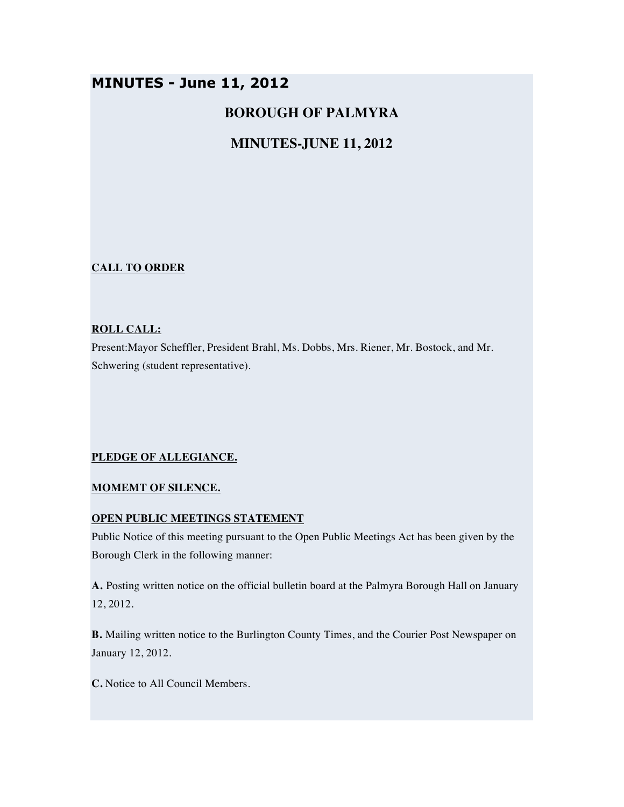# **MINUTES - June 11, 2012**

# **BOROUGH OF PALMYRA**

# **MINUTES-JUNE 11, 2012**

## **CALL TO ORDER**

### **ROLL CALL:**

Present:Mayor Scheffler, President Brahl, Ms. Dobbs, Mrs. Riener, Mr. Bostock, and Mr. Schwering (student representative).

## **PLEDGE OF ALLEGIANCE.**

## **MOMEMT OF SILENCE.**

## **OPEN PUBLIC MEETINGS STATEMENT**

Public Notice of this meeting pursuant to the Open Public Meetings Act has been given by the Borough Clerk in the following manner:

**A.** Posting written notice on the official bulletin board at the Palmyra Borough Hall on January 12, 2012.

**B.** Mailing written notice to the Burlington County Times, and the Courier Post Newspaper on January 12, 2012.

**C.** Notice to All Council Members.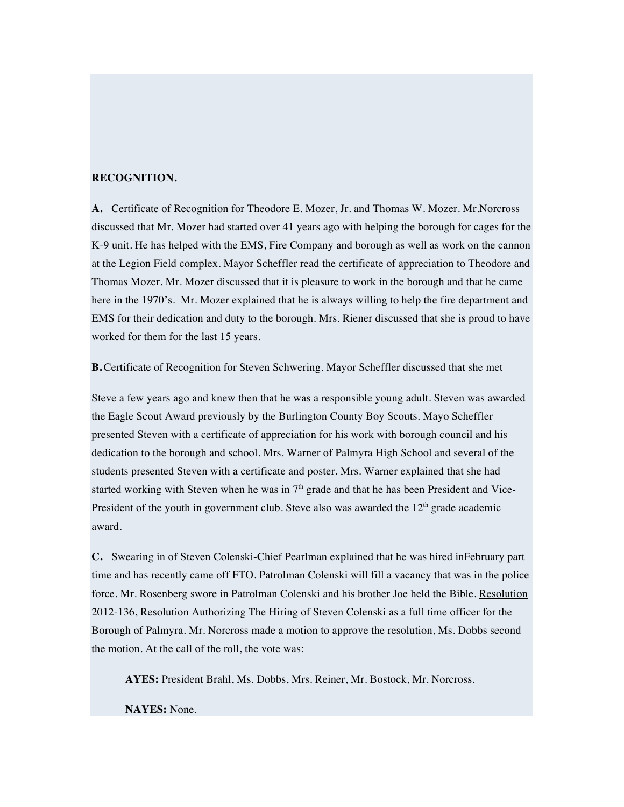### **RECOGNITION.**

**A.** Certificate of Recognition for Theodore E. Mozer, Jr. and Thomas W. Mozer. Mr.Norcross discussed that Mr. Mozer had started over 41 years ago with helping the borough for cages for the K-9 unit. He has helped with the EMS, Fire Company and borough as well as work on the cannon at the Legion Field complex. Mayor Scheffler read the certificate of appreciation to Theodore and Thomas Mozer. Mr. Mozer discussed that it is pleasure to work in the borough and that he came here in the 1970's. Mr. Mozer explained that he is always willing to help the fire department and EMS for their dedication and duty to the borough. Mrs. Riener discussed that she is proud to have worked for them for the last 15 years.

**B.**Certificate of Recognition for Steven Schwering. Mayor Scheffler discussed that she met

Steve a few years ago and knew then that he was a responsible young adult. Steven was awarded the Eagle Scout Award previously by the Burlington County Boy Scouts. Mayo Scheffler presented Steven with a certificate of appreciation for his work with borough council and his dedication to the borough and school. Mrs. Warner of Palmyra High School and several of the students presented Steven with a certificate and poster. Mrs. Warner explained that she had started working with Steven when he was in  $7<sup>th</sup>$  grade and that he has been President and Vice-President of the youth in government club. Steve also was awarded the  $12<sup>th</sup>$  grade academic award.

**C.** Swearing in of Steven Colenski-Chief Pearlman explained that he was hired inFebruary part time and has recently came off FTO. Patrolman Colenski will fill a vacancy that was in the police force. Mr. Rosenberg swore in Patrolman Colenski and his brother Joe held the Bible. Resolution 2012-136, Resolution Authorizing The Hiring of Steven Colenski as a full time officer for the Borough of Palmyra. Mr. Norcross made a motion to approve the resolution, Ms. Dobbs second the motion. At the call of the roll, the vote was:

**AYES:** President Brahl, Ms. Dobbs, Mrs. Reiner, Mr. Bostock, Mr. Norcross.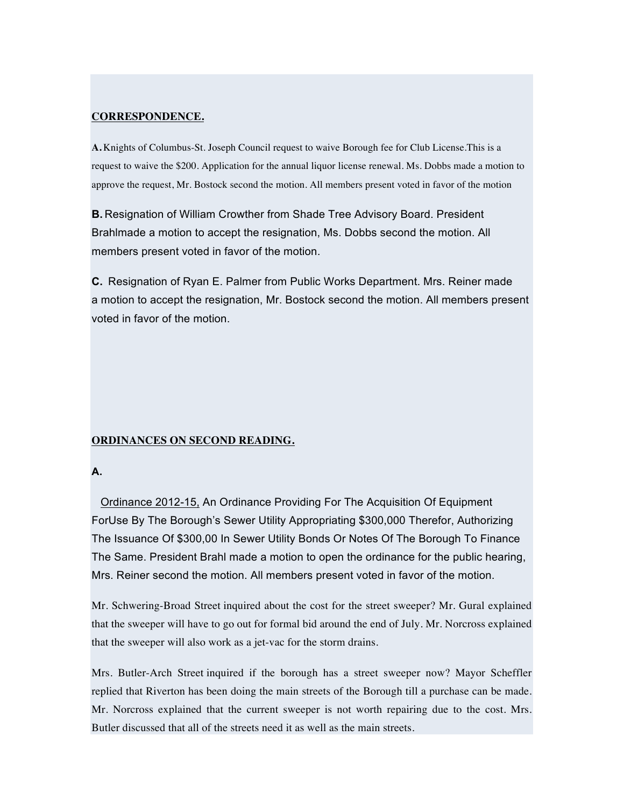### **CORRESPONDENCE.**

**A.** Knights of Columbus-St. Joseph Council request to waive Borough fee for Club License.This is a request to waive the \$200. Application for the annual liquor license renewal. Ms. Dobbs made a motion to approve the request, Mr. Bostock second the motion. All members present voted in favor of the motion

**B.** Resignation of William Crowther from Shade Tree Advisory Board. President Brahlmade a motion to accept the resignation, Ms. Dobbs second the motion. All members present voted in favor of the motion.

**C.** Resignation of Ryan E. Palmer from Public Works Department. Mrs. Reiner made a motion to accept the resignation, Mr. Bostock second the motion. All members present voted in favor of the motion.

### **ORDINANCES ON SECOND READING.**

## **A.**

Ordinance 2012-15, An Ordinance Providing For The Acquisition Of Equipment ForUse By The Borough's Sewer Utility Appropriating \$300,000 Therefor, Authorizing The Issuance Of \$300,00 In Sewer Utility Bonds Or Notes Of The Borough To Finance The Same. President Brahl made a motion to open the ordinance for the public hearing, Mrs. Reiner second the motion. All members present voted in favor of the motion.

Mr. Schwering-Broad Street inquired about the cost for the street sweeper? Mr. Gural explained that the sweeper will have to go out for formal bid around the end of July. Mr. Norcross explained that the sweeper will also work as a jet-vac for the storm drains.

Mrs. Butler-Arch Street inquired if the borough has a street sweeper now? Mayor Scheffler replied that Riverton has been doing the main streets of the Borough till a purchase can be made. Mr. Norcross explained that the current sweeper is not worth repairing due to the cost. Mrs. Butler discussed that all of the streets need it as well as the main streets.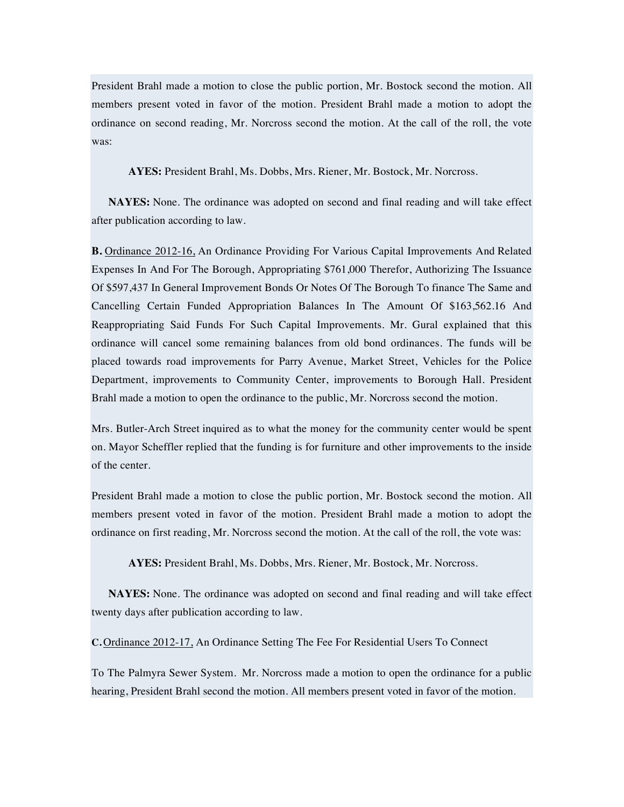President Brahl made a motion to close the public portion, Mr. Bostock second the motion. All members present voted in favor of the motion. President Brahl made a motion to adopt the ordinance on second reading, Mr. Norcross second the motion. At the call of the roll, the vote was:

**AYES:** President Brahl, Ms. Dobbs, Mrs. Riener, Mr. Bostock, Mr. Norcross.

**NAYES:** None. The ordinance was adopted on second and final reading and will take effect after publication according to law.

**B.** Ordinance 2012-16, An Ordinance Providing For Various Capital Improvements And Related Expenses In And For The Borough, Appropriating \$761,000 Therefor, Authorizing The Issuance Of \$597,437 In General Improvement Bonds Or Notes Of The Borough To finance The Same and Cancelling Certain Funded Appropriation Balances In The Amount Of \$163,562.16 And Reappropriating Said Funds For Such Capital Improvements. Mr. Gural explained that this ordinance will cancel some remaining balances from old bond ordinances. The funds will be placed towards road improvements for Parry Avenue, Market Street, Vehicles for the Police Department, improvements to Community Center, improvements to Borough Hall. President Brahl made a motion to open the ordinance to the public, Mr. Norcross second the motion.

Mrs. Butler-Arch Street inquired as to what the money for the community center would be spent on. Mayor Scheffler replied that the funding is for furniture and other improvements to the inside of the center.

President Brahl made a motion to close the public portion, Mr. Bostock second the motion. All members present voted in favor of the motion. President Brahl made a motion to adopt the ordinance on first reading, Mr. Norcross second the motion. At the call of the roll, the vote was:

**AYES:** President Brahl, Ms. Dobbs, Mrs. Riener, Mr. Bostock, Mr. Norcross.

**NAYES:** None. The ordinance was adopted on second and final reading and will take effect twenty days after publication according to law.

**C.** Ordinance 2012-17, An Ordinance Setting The Fee For Residential Users To Connect

To The Palmyra Sewer System. Mr. Norcross made a motion to open the ordinance for a public hearing, President Brahl second the motion. All members present voted in favor of the motion.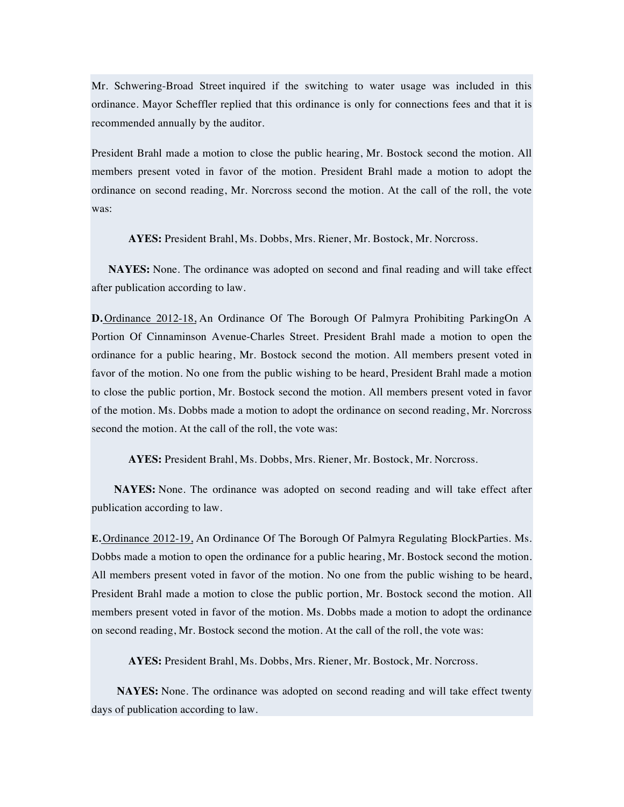Mr. Schwering-Broad Street inquired if the switching to water usage was included in this ordinance. Mayor Scheffler replied that this ordinance is only for connections fees and that it is recommended annually by the auditor.

President Brahl made a motion to close the public hearing, Mr. Bostock second the motion. All members present voted in favor of the motion. President Brahl made a motion to adopt the ordinance on second reading, Mr. Norcross second the motion. At the call of the roll, the vote was:

**AYES:** President Brahl, Ms. Dobbs, Mrs. Riener, Mr. Bostock, Mr. Norcross.

**NAYES:** None. The ordinance was adopted on second and final reading and will take effect after publication according to law.

**D.** Ordinance 2012-18, An Ordinance Of The Borough Of Palmyra Prohibiting ParkingOn A Portion Of Cinnaminson Avenue-Charles Street. President Brahl made a motion to open the ordinance for a public hearing, Mr. Bostock second the motion. All members present voted in favor of the motion. No one from the public wishing to be heard, President Brahl made a motion to close the public portion, Mr. Bostock second the motion. All members present voted in favor of the motion. Ms. Dobbs made a motion to adopt the ordinance on second reading, Mr. Norcross second the motion. At the call of the roll, the vote was:

**AYES:** President Brahl, Ms. Dobbs, Mrs. Riener, Mr. Bostock, Mr. Norcross.

**NAYES:** None. The ordinance was adopted on second reading and will take effect after publication according to law.

**E.** Ordinance 2012-19, An Ordinance Of The Borough Of Palmyra Regulating BlockParties. Ms. Dobbs made a motion to open the ordinance for a public hearing, Mr. Bostock second the motion. All members present voted in favor of the motion. No one from the public wishing to be heard, President Brahl made a motion to close the public portion, Mr. Bostock second the motion. All members present voted in favor of the motion. Ms. Dobbs made a motion to adopt the ordinance on second reading, Mr. Bostock second the motion. At the call of the roll, the vote was:

**AYES:** President Brahl, Ms. Dobbs, Mrs. Riener, Mr. Bostock, Mr. Norcross.

**NAYES:** None. The ordinance was adopted on second reading and will take effect twenty days of publication according to law.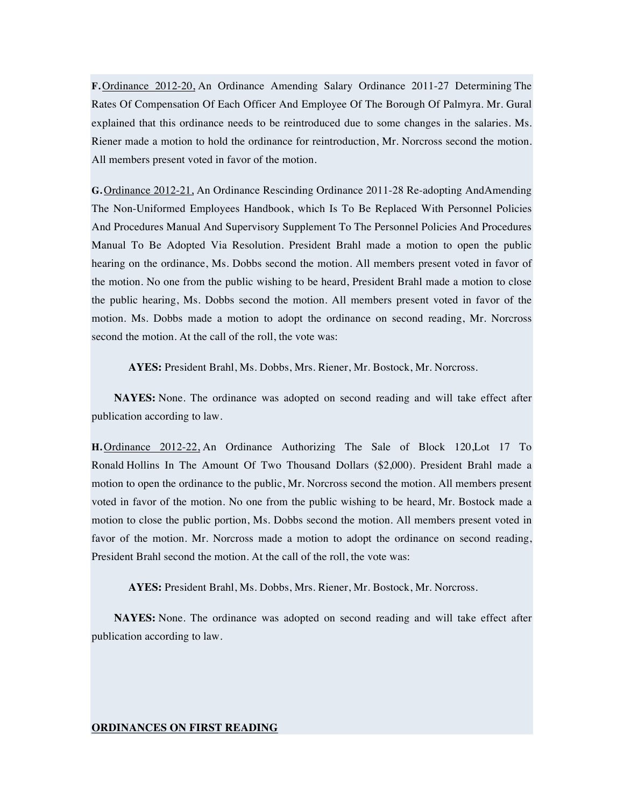**F.** Ordinance 2012-20, An Ordinance Amending Salary Ordinance 2011-27 Determining The Rates Of Compensation Of Each Officer And Employee Of The Borough Of Palmyra. Mr. Gural explained that this ordinance needs to be reintroduced due to some changes in the salaries. Ms. Riener made a motion to hold the ordinance for reintroduction, Mr. Norcross second the motion. All members present voted in favor of the motion.

**G.** Ordinance 2012-21, An Ordinance Rescinding Ordinance 2011-28 Re-adopting AndAmending The Non-Uniformed Employees Handbook, which Is To Be Replaced With Personnel Policies And Procedures Manual And Supervisory Supplement To The Personnel Policies And Procedures Manual To Be Adopted Via Resolution. President Brahl made a motion to open the public hearing on the ordinance, Ms. Dobbs second the motion. All members present voted in favor of the motion. No one from the public wishing to be heard, President Brahl made a motion to close the public hearing, Ms. Dobbs second the motion. All members present voted in favor of the motion. Ms. Dobbs made a motion to adopt the ordinance on second reading, Mr. Norcross second the motion. At the call of the roll, the vote was:

**AYES:** President Brahl, Ms. Dobbs, Mrs. Riener, Mr. Bostock, Mr. Norcross.

**NAYES:** None. The ordinance was adopted on second reading and will take effect after publication according to law.

**H.** Ordinance 2012-22, An Ordinance Authorizing The Sale of Block 120,Lot 17 To Ronald Hollins In The Amount Of Two Thousand Dollars (\$2,000). President Brahl made a motion to open the ordinance to the public, Mr. Norcross second the motion. All members present voted in favor of the motion. No one from the public wishing to be heard, Mr. Bostock made a motion to close the public portion, Ms. Dobbs second the motion. All members present voted in favor of the motion. Mr. Norcross made a motion to adopt the ordinance on second reading, President Brahl second the motion. At the call of the roll, the vote was:

**AYES:** President Brahl, Ms. Dobbs, Mrs. Riener, Mr. Bostock, Mr. Norcross.

**NAYES:** None. The ordinance was adopted on second reading and will take effect after publication according to law.

#### **ORDINANCES ON FIRST READING**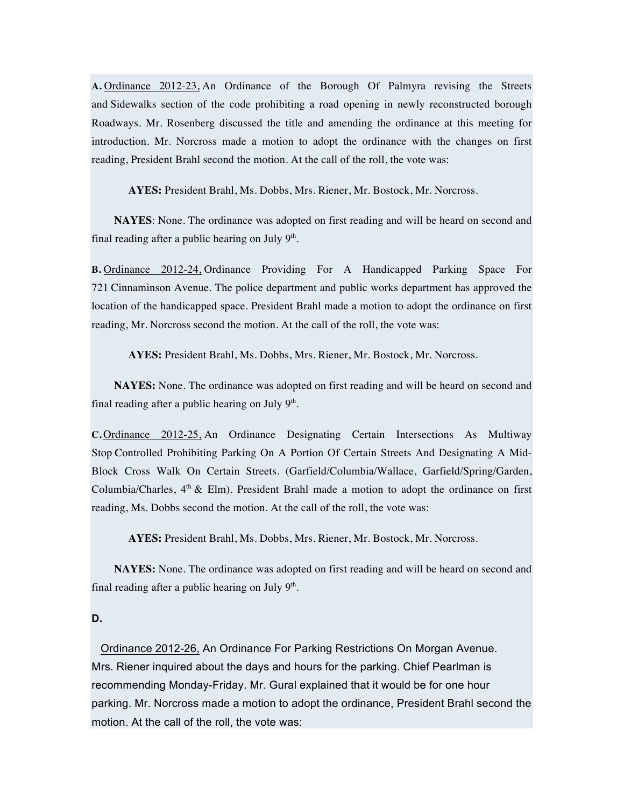**A.** Ordinance 2012-23, An Ordinance of the Borough Of Palmyra revising the Streets and Sidewalks section of the code prohibiting a road opening in newly reconstructed borough Roadways. Mr. Rosenberg discussed the title and amending the ordinance at this meeting for introduction. Mr. Norcross made a motion to adopt the ordinance with the changes on first reading, President Brahl second the motion. At the call of the roll, the vote was:

**AYES:** President Brahl, Ms. Dobbs, Mrs. Riener, Mr. Bostock, Mr. Norcross.

**NAYES**: None. The ordinance was adopted on first reading and will be heard on second and final reading after a public hearing on July  $9<sup>th</sup>$ .

**B.** Ordinance 2012-24, Ordinance Providing For A Handicapped Parking Space For 721 Cinnaminson Avenue. The police department and public works department has approved the location of the handicapped space. President Brahl made a motion to adopt the ordinance on first reading, Mr. Norcross second the motion. At the call of the roll, the vote was:

**AYES:** President Brahl, Ms. Dobbs, Mrs. Riener, Mr. Bostock, Mr. Norcross.

**NAYES:** None. The ordinance was adopted on first reading and will be heard on second and final reading after a public hearing on July  $9<sup>th</sup>$ .

**C.** Ordinance 2012-25, An Ordinance Designating Certain Intersections As Multiway Stop Controlled Prohibiting Parking On A Portion Of Certain Streets And Designating A Mid-Block Cross Walk On Certain Streets. (Garfield/Columbia/Wallace, Garfield/Spring/Garden, Columbia/Charles,  $4<sup>th</sup>$  & Elm). President Brahl made a motion to adopt the ordinance on first reading, Ms. Dobbs second the motion. At the call of the roll, the vote was:

**AYES:** President Brahl, Ms. Dobbs, Mrs. Riener, Mr. Bostock, Mr. Norcross.

**NAYES:** None. The ordinance was adopted on first reading and will be heard on second and final reading after a public hearing on July  $9<sup>th</sup>$ .

## **D.**

Ordinance 2012-26, An Ordinance For Parking Restrictions On Morgan Avenue. Mrs. Riener inquired about the days and hours for the parking. Chief Pearlman is recommending Monday-Friday. Mr. Gural explained that it would be for one hour parking. Mr. Norcross made a motion to adopt the ordinance, President Brahl second the motion. At the call of the roll, the vote was: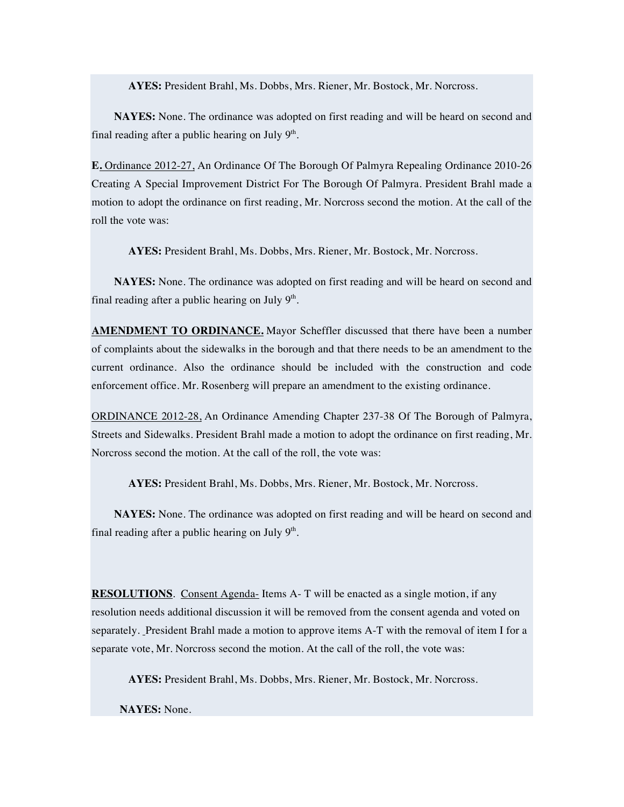**AYES:** President Brahl, Ms. Dobbs, Mrs. Riener, Mr. Bostock, Mr. Norcross.

**NAYES:** None. The ordinance was adopted on first reading and will be heard on second and final reading after a public hearing on July  $9<sup>th</sup>$ .

**E.** Ordinance 2012-27, An Ordinance Of The Borough Of Palmyra Repealing Ordinance 2010-26 Creating A Special Improvement District For The Borough Of Palmyra. President Brahl made a motion to adopt the ordinance on first reading, Mr. Norcross second the motion. At the call of the roll the vote was:

**AYES:** President Brahl, Ms. Dobbs, Mrs. Riener, Mr. Bostock, Mr. Norcross.

**NAYES:** None. The ordinance was adopted on first reading and will be heard on second and final reading after a public hearing on July  $9<sup>th</sup>$ .

**AMENDMENT TO ORDINANCE.** Mayor Scheffler discussed that there have been a number of complaints about the sidewalks in the borough and that there needs to be an amendment to the current ordinance. Also the ordinance should be included with the construction and code enforcement office. Mr. Rosenberg will prepare an amendment to the existing ordinance.

ORDINANCE 2012-28, An Ordinance Amending Chapter 237-38 Of The Borough of Palmyra, Streets and Sidewalks. President Brahl made a motion to adopt the ordinance on first reading, Mr. Norcross second the motion. At the call of the roll, the vote was:

**AYES:** President Brahl, Ms. Dobbs, Mrs. Riener, Mr. Bostock, Mr. Norcross.

**NAYES:** None. The ordinance was adopted on first reading and will be heard on second and final reading after a public hearing on July  $9<sup>th</sup>$ .

**RESOLUTIONS**. Consent Agenda- Items A- T will be enacted as a single motion, if any resolution needs additional discussion it will be removed from the consent agenda and voted on separately. President Brahl made a motion to approve items A-T with the removal of item I for a separate vote, Mr. Norcross second the motion. At the call of the roll, the vote was:

**AYES:** President Brahl, Ms. Dobbs, Mrs. Riener, Mr. Bostock, Mr. Norcross.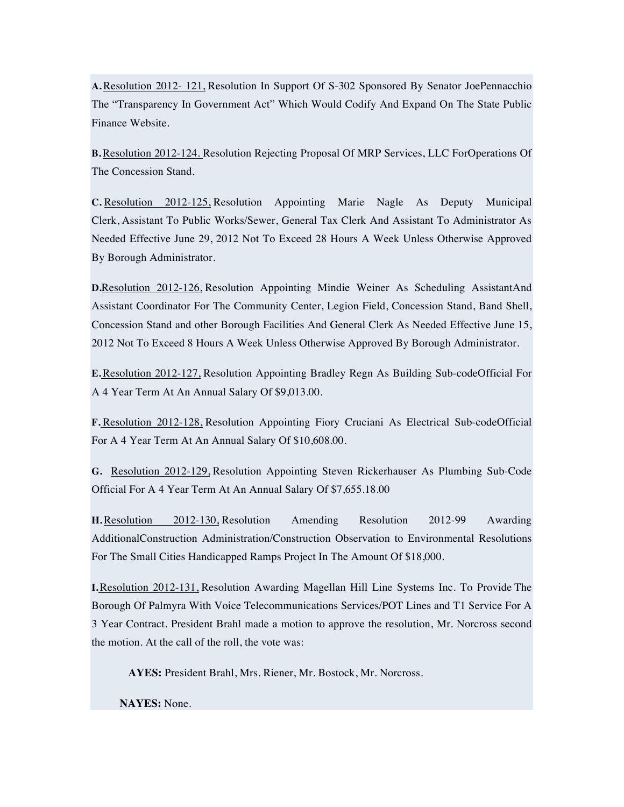**A.**Resolution 2012- 121, Resolution In Support Of S-302 Sponsored By Senator JoePennacchio The "Transparency In Government Act" Which Would Codify And Expand On The State Public Finance Website.

**B.**Resolution 2012-124. Resolution Rejecting Proposal Of MRP Services, LLC ForOperations Of The Concession Stand.

**C.** Resolution 2012-125, Resolution Appointing Marie Nagle As Deputy Municipal Clerk, Assistant To Public Works/Sewer, General Tax Clerk And Assistant To Administrator As Needed Effective June 29, 2012 Not To Exceed 28 Hours A Week Unless Otherwise Approved By Borough Administrator.

**D.**Resolution 2012-126, Resolution Appointing Mindie Weiner As Scheduling AssistantAnd Assistant Coordinator For The Community Center, Legion Field, Concession Stand, Band Shell, Concession Stand and other Borough Facilities And General Clerk As Needed Effective June 15, 2012 Not To Exceed 8 Hours A Week Unless Otherwise Approved By Borough Administrator.

**E.**Resolution 2012-127, Resolution Appointing Bradley Regn As Building Sub-codeOfficial For A 4 Year Term At An Annual Salary Of \$9,013.00.

**F.** Resolution 2012-128, Resolution Appointing Fiory Cruciani As Electrical Sub-codeOfficial For A 4 Year Term At An Annual Salary Of \$10,608.00.

**G.** Resolution 2012-129, Resolution Appointing Steven Rickerhauser As Plumbing Sub-Code Official For A 4 Year Term At An Annual Salary Of \$7,655.18.00

**H.**Resolution 2012-130, Resolution Amending Resolution 2012-99 Awarding AdditionalConstruction Administration/Construction Observation to Environmental Resolutions For The Small Cities Handicapped Ramps Project In The Amount Of \$18,000.

**I.**Resolution 2012-131, Resolution Awarding Magellan Hill Line Systems Inc. To Provide The Borough Of Palmyra With Voice Telecommunications Services/POT Lines and T1 Service For A 3 Year Contract. President Brahl made a motion to approve the resolution, Mr. Norcross second the motion. At the call of the roll, the vote was:

**AYES:** President Brahl, Mrs. Riener, Mr. Bostock, Mr. Norcross.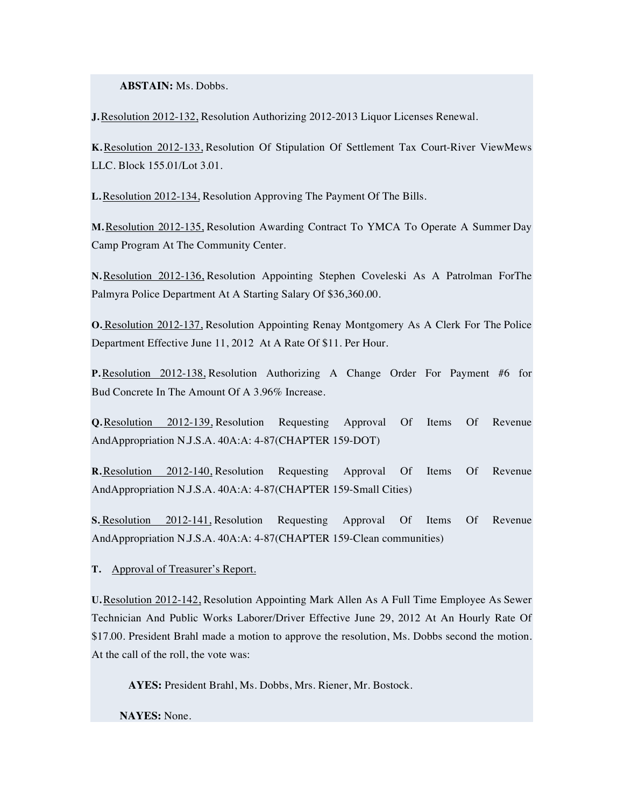**ABSTAIN:** Ms. Dobbs.

**J.**Resolution 2012-132, Resolution Authorizing 2012-2013 Liquor Licenses Renewal.

**K.**Resolution 2012-133, Resolution Of Stipulation Of Settlement Tax Court-River ViewMews LLC. Block 155.01/Lot 3.01.

**L.**Resolution 2012-134, Resolution Approving The Payment Of The Bills.

**M.**Resolution 2012-135, Resolution Awarding Contract To YMCA To Operate A Summer Day Camp Program At The Community Center.

**N.**Resolution 2012-136, Resolution Appointing Stephen Coveleski As A Patrolman ForThe Palmyra Police Department At A Starting Salary Of \$36,360.00.

**O.** Resolution 2012-137, Resolution Appointing Renay Montgomery As A Clerk For The Police Department Effective June 11, 2012 At A Rate Of \$11. Per Hour.

**P.**Resolution 2012-138, Resolution Authorizing A Change Order For Payment #6 for Bud Concrete In The Amount Of A 3.96% Increase.

**Q.**Resolution 2012-139, Resolution Requesting Approval Of Items Of Revenue AndAppropriation N.J.S.A. 40A:A: 4-87(CHAPTER 159-DOT)

**R.**Resolution 2012-140, Resolution Requesting Approval Of Items Of Revenue AndAppropriation N.J.S.A. 40A:A: 4-87(CHAPTER 159-Small Cities)

**S.** Resolution 2012-141, Resolution Requesting Approval Of Items Of Revenue AndAppropriation N.J.S.A. 40A:A: 4-87(CHAPTER 159-Clean communities)

**T.** Approval of Treasurer's Report.

**U.**Resolution 2012-142, Resolution Appointing Mark Allen As A Full Time Employee As Sewer Technician And Public Works Laborer/Driver Effective June 29, 2012 At An Hourly Rate Of \$17.00. President Brahl made a motion to approve the resolution, Ms. Dobbs second the motion. At the call of the roll, the vote was:

**AYES:** President Brahl, Ms. Dobbs, Mrs. Riener, Mr. Bostock.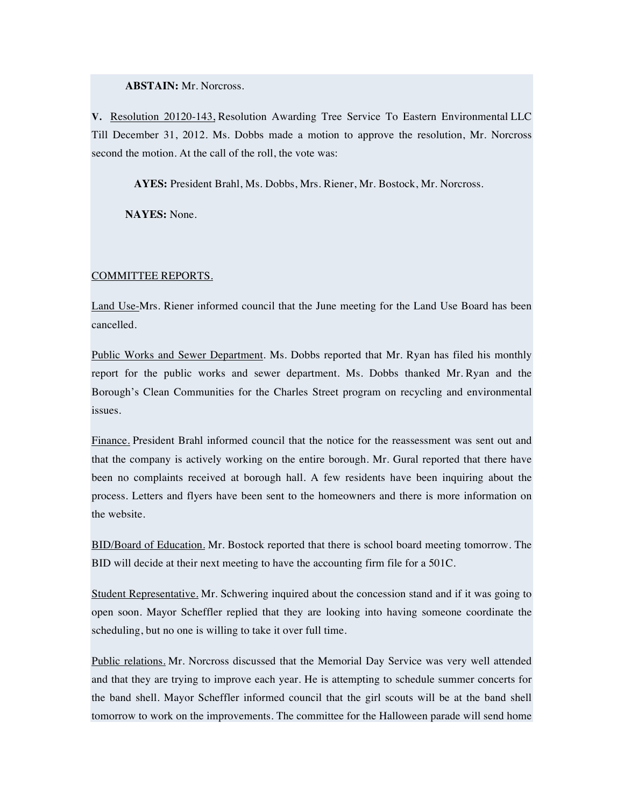**ABSTAIN:** Mr. Norcross.

**V.** Resolution 20120-143, Resolution Awarding Tree Service To Eastern Environmental LLC Till December 31, 2012. Ms. Dobbs made a motion to approve the resolution, Mr. Norcross second the motion. At the call of the roll, the vote was:

**AYES:** President Brahl, Ms. Dobbs, Mrs. Riener, Mr. Bostock, Mr. Norcross.

**NAYES:** None.

## COMMITTEE REPORTS.

Land Use-Mrs. Riener informed council that the June meeting for the Land Use Board has been cancelled.

Public Works and Sewer Department. Ms. Dobbs reported that Mr. Ryan has filed his monthly report for the public works and sewer department. Ms. Dobbs thanked Mr. Ryan and the Borough's Clean Communities for the Charles Street program on recycling and environmental issues.

Finance. President Brahl informed council that the notice for the reassessment was sent out and that the company is actively working on the entire borough. Mr. Gural reported that there have been no complaints received at borough hall. A few residents have been inquiring about the process. Letters and flyers have been sent to the homeowners and there is more information on the website.

BID/Board of Education. Mr. Bostock reported that there is school board meeting tomorrow. The BID will decide at their next meeting to have the accounting firm file for a 501C.

Student Representative. Mr. Schwering inquired about the concession stand and if it was going to open soon. Mayor Scheffler replied that they are looking into having someone coordinate the scheduling, but no one is willing to take it over full time.

Public relations. Mr. Norcross discussed that the Memorial Day Service was very well attended and that they are trying to improve each year. He is attempting to schedule summer concerts for the band shell. Mayor Scheffler informed council that the girl scouts will be at the band shell tomorrow to work on the improvements. The committee for the Halloween parade will send home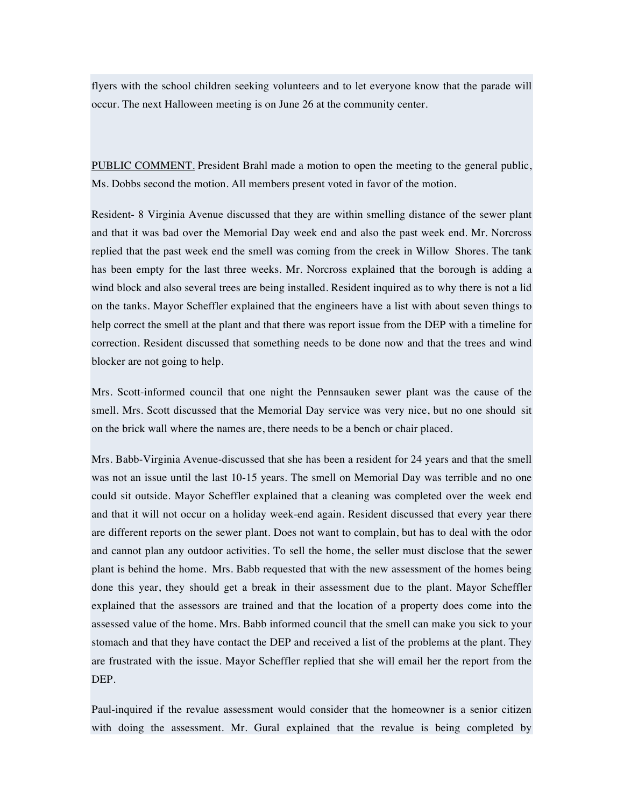flyers with the school children seeking volunteers and to let everyone know that the parade will occur. The next Halloween meeting is on June 26 at the community center.

PUBLIC COMMENT. President Brahl made a motion to open the meeting to the general public, Ms. Dobbs second the motion. All members present voted in favor of the motion.

Resident- 8 Virginia Avenue discussed that they are within smelling distance of the sewer plant and that it was bad over the Memorial Day week end and also the past week end. Mr. Norcross replied that the past week end the smell was coming from the creek in Willow Shores. The tank has been empty for the last three weeks. Mr. Norcross explained that the borough is adding a wind block and also several trees are being installed. Resident inquired as to why there is not a lid on the tanks. Mayor Scheffler explained that the engineers have a list with about seven things to help correct the smell at the plant and that there was report issue from the DEP with a timeline for correction. Resident discussed that something needs to be done now and that the trees and wind blocker are not going to help.

Mrs. Scott-informed council that one night the Pennsauken sewer plant was the cause of the smell. Mrs. Scott discussed that the Memorial Day service was very nice, but no one should sit on the brick wall where the names are, there needs to be a bench or chair placed.

Mrs. Babb-Virginia Avenue-discussed that she has been a resident for 24 years and that the smell was not an issue until the last 10-15 years. The smell on Memorial Day was terrible and no one could sit outside. Mayor Scheffler explained that a cleaning was completed over the week end and that it will not occur on a holiday week-end again. Resident discussed that every year there are different reports on the sewer plant. Does not want to complain, but has to deal with the odor and cannot plan any outdoor activities. To sell the home, the seller must disclose that the sewer plant is behind the home. Mrs. Babb requested that with the new assessment of the homes being done this year, they should get a break in their assessment due to the plant. Mayor Scheffler explained that the assessors are trained and that the location of a property does come into the assessed value of the home. Mrs. Babb informed council that the smell can make you sick to your stomach and that they have contact the DEP and received a list of the problems at the plant. They are frustrated with the issue. Mayor Scheffler replied that she will email her the report from the DEP.

Paul-inquired if the revalue assessment would consider that the homeowner is a senior citizen with doing the assessment. Mr. Gural explained that the revalue is being completed by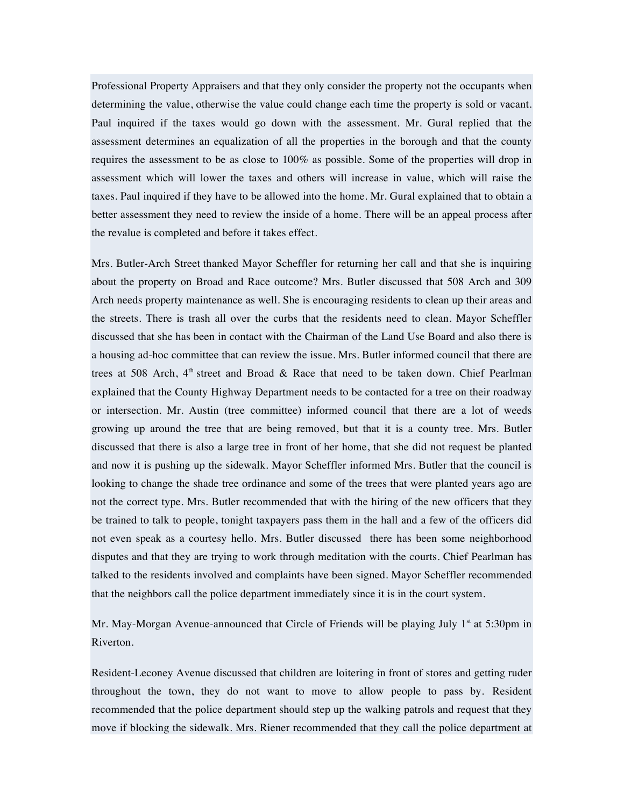Professional Property Appraisers and that they only consider the property not the occupants when determining the value, otherwise the value could change each time the property is sold or vacant. Paul inquired if the taxes would go down with the assessment. Mr. Gural replied that the assessment determines an equalization of all the properties in the borough and that the county requires the assessment to be as close to 100% as possible. Some of the properties will drop in assessment which will lower the taxes and others will increase in value, which will raise the taxes. Paul inquired if they have to be allowed into the home. Mr. Gural explained that to obtain a better assessment they need to review the inside of a home. There will be an appeal process after the revalue is completed and before it takes effect.

Mrs. Butler-Arch Street thanked Mayor Scheffler for returning her call and that she is inquiring about the property on Broad and Race outcome? Mrs. Butler discussed that 508 Arch and 309 Arch needs property maintenance as well. She is encouraging residents to clean up their areas and the streets. There is trash all over the curbs that the residents need to clean. Mayor Scheffler discussed that she has been in contact with the Chairman of the Land Use Board and also there is a housing ad-hoc committee that can review the issue. Mrs. Butler informed council that there are trees at 508 Arch,  $4<sup>th</sup>$  street and Broad & Race that need to be taken down. Chief Pearlman explained that the County Highway Department needs to be contacted for a tree on their roadway or intersection. Mr. Austin (tree committee) informed council that there are a lot of weeds growing up around the tree that are being removed, but that it is a county tree. Mrs. Butler discussed that there is also a large tree in front of her home, that she did not request be planted and now it is pushing up the sidewalk. Mayor Scheffler informed Mrs. Butler that the council is looking to change the shade tree ordinance and some of the trees that were planted years ago are not the correct type. Mrs. Butler recommended that with the hiring of the new officers that they be trained to talk to people, tonight taxpayers pass them in the hall and a few of the officers did not even speak as a courtesy hello. Mrs. Butler discussed there has been some neighborhood disputes and that they are trying to work through meditation with the courts. Chief Pearlman has talked to the residents involved and complaints have been signed. Mayor Scheffler recommended that the neighbors call the police department immediately since it is in the court system.

Mr. May-Morgan Avenue-announced that Circle of Friends will be playing July  $1<sup>st</sup>$  at 5:30pm in Riverton.

Resident-Leconey Avenue discussed that children are loitering in front of stores and getting ruder throughout the town, they do not want to move to allow people to pass by. Resident recommended that the police department should step up the walking patrols and request that they move if blocking the sidewalk. Mrs. Riener recommended that they call the police department at